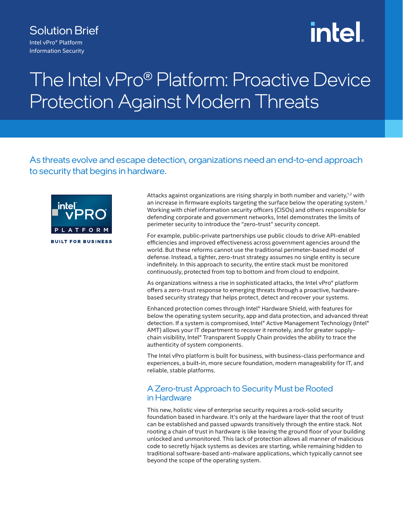### Solution Brief

Intel vPro® Platform Information Security

# **intel**

## The Intel vPro® Platform: Proactive Device Protection Against Modern Threats

As threats evolve and escape detection, organizations need an end-to-end approach to security that begins in hardware.



Attacks against organizations are rising sharply in both number and variety,<sup>1,2</sup> with an increase in firmware exploits targeting the surface below the operating system.<sup>3</sup> Working with chief information security officers (CISOs) and others responsible for defending corporate and government networks, Intel demonstrates the limits of perimeter security to introduce the "zero-trust" security concept.

For example, public-private partnerships use public clouds to drive API-enabled efficiencies and improved effectiveness across government agencies around the world. But these reforms cannot use the traditional perimeter-based model of defense. Instead, a tighter, zero-trust strategy assumes no single entity is secure indefinitely. In this approach to security, the entire stack must be monitored continuously, protected from top to bottom and from cloud to endpoint.

As organizations witness a rise in sophisticated attacks, the Intel vPro® platform offers a zero-trust response to emerging threats through a proactive, hardwarebased security strategy that helps protect, detect and recover your systems.

Enhanced protection comes through Intel® Hardware Shield, with features for below the operating system security, app and data protection, and advanced threat detection. If a system is compromised, Intel® Active Management Technology (Intel® AMT) allows your IT department to recover it remotely, and for greater supplychain visibility, Intel® Transparent Supply Chain provides the ability to trace the authenticity of system components.

The Intel vPro platform is built for business, with business-class performance and experiences, a built-in, more secure foundation, modern manageability for IT, and reliable, stable platforms.

#### A Zero-trust Approach to Security Must be Rooted in Hardware

This new, holistic view of enterprise security requires a rock-solid security foundation based in hardware. It's only at the hardware layer that the root of trust can be established and passed upwards transitively through the entire stack. Not rooting a chain of trust in hardware is like leaving the ground floor of your building unlocked and unmonitored. This lack of protection allows all manner of malicious code to secretly hijack systems as devices are starting, while remaining hidden to traditional software-based anti-malware applications, which typically cannot see beyond the scope of the operating system.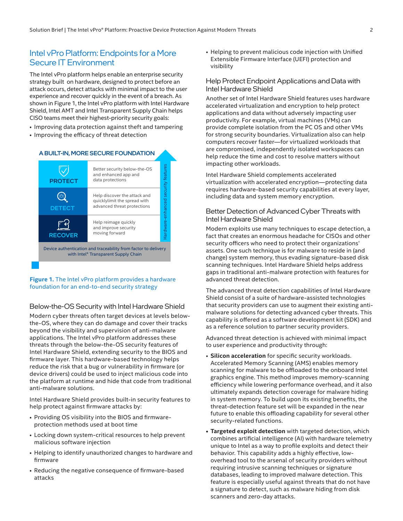#### Intel vPro Platform: Endpoints for a More Secure IT Environment Better security below the OS and

The Intel vPro platform helps enable an enterprise security strategy built on hardware, designed to protect before an attack occurs, detect attacks with minimal impact to the user experience and recover quickly in the event of a breach. As shown in Figure 1, the Intel vPro platform with Intel Hardware Shield, Intel AMT and Intel Transparent Supply Chain helps CISO teams meet their highest-priority security goals: น<br>ค.ศ<br>ท. rit<br>ur<br>u A

- Improving data protection against theft and tampering
- Improving the efficacy of threat detection



#### **Figure 1.** The Intel vPro platform provides a hardware foundation for an end-to-end security strategy

#### Below-the-OS Security with Intel Hardware Shield

Modern cyber threats often target devices at levels belowthe-OS, where they can do damage and cover their tracks beyond the visibility and supervision of anti-malware applications. The Intel vPro platform addresses these threats through the below-the-OS security features of Intel Hardware Shield, extending security to the BIOS and firmware layer. This hardware-based technology helps reduce the risk that a bug or vulnerability in firmware (or device drivers) could be used to inject malicious code into the platform at runtime and hide that code from traditional anti-malware solutions.

Intel Hardware Shield provides built-in security features to help protect against firmware attacks by:

- Providing OS visibility into the BIOS and firmwareprotection methods used at boot time
- Locking down system-critical resources to help prevent malicious software injection
- Helping to identify unauthorized changes to hardware and firmware
- Reducing the negative consequence of firmware-based attacks

• Helping to prevent malicious code injection with Unified Extensible Firmware Interface (UEFI) protection and visibility

#### Help Protect Endpoint Applications and Data with Intel Hardware Shield

Another set of Intel Hardware Shield features uses hardware accelerated virtualization and encryption to help protect applications and data without adversely impacting user productivity. For example, virtual machines (VMs) can provide complete isolation from the PC OS and other VMs for strong security boundaries. Virtualization also can help computers recover faster—for virtualized workloads that are compromised, independently isolated workspaces can help reduce the time and cost to resolve matters without impacting other workloads.

Intel Hardware Shield complements accelerated virtualization with accelerated encryption—protecting data requires hardware-based security capabilities at every layer, including data and system memory encryption.

#### Better Detection of Advanced Cyber Threats with Intel Hardware Shield

Modern exploits use many techniques to escape detection, a fact that creates an enormous headache for CISOs and other security officers who need to protect their organizations' assets. One such technique is for malware to reside in (and change) system memory, thus evading signature-based disk scanning techniques. Intel Hardware Shield helps address gaps in traditional anti-malware protection with features for advanced threat detection.

The advanced threat detection capabilities of Intel Hardware Shield consist of a suite of hardware-assisted technologies that security providers can use to augment their existing antimalware solutions for detecting advanced cyber threats. This capability is offered as a software development kit (SDK) and as a reference solution to partner security providers.

Advanced threat detection is achieved with minimal impact to user experience and productivity through:

- **Silicon acceleration** for specific security workloads. Accelerated Memory Scanning (AMS) enables memory scanning for malware to be offloaded to the onboard Intel graphics engine. This method improves memory-scanning efficiency while lowering performance overhead, and it also ultimately expands detection coverage for malware hiding in system memory. To build upon its existing benefits, the threat-detection feature set will be expanded in the near future to enable this offloading capability for several other security-related functions.
- **• Targeted exploit detection** with targeted detection, which combines artificial intelligence (AI) with hardware telemetry unique to Intel as a way to profile exploits and detect their behavior. This capability adds a highly effective, lowoverhead tool to the arsenal of security providers without requiring intrusive scanning techniques or signature databases, leading to improved malware detection. This feature is especially useful against threats that do not have a signature to detect, such as malware hiding from disk scanners and zero-day attacks.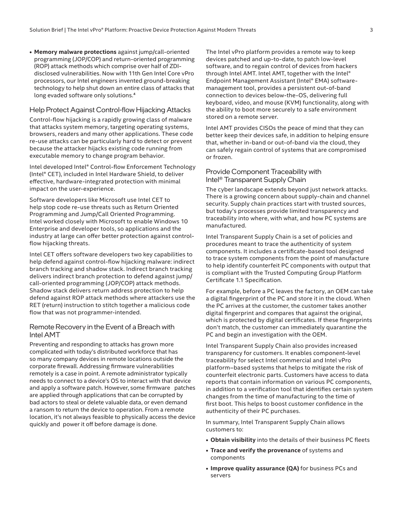**• Memory malware protections** against jump/call-oriented programming (JOP/COP) and return-oriented programming (ROP) attack methods which comprise over half of ZDIdisclosed vulnerabilities. Now with 11th Gen Intel Core vPro processors, our Intel engineers invented ground-breaking technology to help shut down an entire class of attacks that long evaded software only solutions.<sup>4</sup>

#### Help Protect Against Control-flow Hijacking Attacks

Control-flow hijacking is a rapidly growing class of malware that attacks system memory, targeting operating systems, browsers, readers and many other applications. These code re-use attacks can be particularly hard to detect or prevent because the attacker hijacks existing code running from executable memory to change program behavior.

Intel developed Intel® Control-flow Enforcement Technology (Intel® CET), included in Intel Hardware Shield, to deliver effective, hardware-integrated protection with minimal impact on the user-experience.

Software developers like Microsoft use Intel CET to help stop code re-use threats such as Return Oriented Programming and Jump/Call Oriented Programming. Intel worked closely with Microsoft to enable Windows 10 Enterprise and developer tools, so applications and the industry at large can offer better protection against controlflow hijacking threats.

Intel CET offers software developers two key capabilities to help defend against control-flow hijacking malware: indirect branch tracking and shadow stack. Indirect branch tracking delivers indirect branch protection to defend against jump/ call-oriented programming (JOP/COP) attack methods. Shadow stack delivers return address protection to help defend against ROP attack methods where attackers use the RET (return) instruction to stitch together a malicious code flow that was not programmer-intended.

#### Remote Recovery in the Event of a Breach with Intel AMT

Preventing and responding to attacks has grown more complicated with today's distributed workforce that has so many company devices in remote locations outside the corporate firewall. Addressing firmware vulnerabilities remotely is a case in point. A remote administrator typically needs to connect to a device's OS to interact with that device and apply a software patch. However, some firmware patches are applied through applications that can be corrupted by bad actors to steal or delete valuable data, or even demand a ransom to return the device to operation. From a remote location, it's not always feasible to physically access the device quickly and power it off before damage is done.

The Intel vPro platform provides a remote way to keep devices patched and up-to-date, to patch low-level software, and to regain control of devices from hackers through Intel AMT. Intel AMT, together with the Intel® Endpoint Management Assistant (Intel® EMA) softwaremanagement tool, provides a persistent out-of-band connection to devices below-the-OS, delivering full keyboard, video, and mouse (KVM) functionality, along with the ability to boot more securely to a safe environment stored on a remote server.

Intel AMT provides CISOs the peace of mind that they can better keep their devices safe, in addition to helping ensure that, whether in-band or out-of-band via the cloud, they can safely regain control of systems that are compromised or frozen.

#### Provide Component Traceability with Intel® Transparent Supply Chain

The cyber landscape extends beyond just network attacks. There is a growing concern about supply-chain and channel security. Supply chain practices start with trusted sources, but today's processes provide limited transparency and traceability into where, with what, and how PC systems are manufactured.

Intel Transparent Supply Chain is a set of policies and procedures meant to trace the authenticity of system components. It includes a certificate-based tool designed to trace system components from the point of manufacture to help identify counterfeit PC components with output that is compliant with the Trusted Computing Group Platform Certificate 1.1 Specification.

For example, before a PC leaves the factory, an OEM can take a digital fingerprint of the PC and store it in the cloud. When the PC arrives at the customer, the customer takes another digital fingerprint and compares that against the original, which is protected by digital certificates. If these fingerprints don't match, the customer can immediately quarantine the PC and begin an investigation with the OEM.

Intel Transparent Supply Chain also provides increased transparency for customers. It enables component-level traceability for select Intel commercial and Intel vPro platform–based systems that helps to mitigate the risk of counterfeit electronic parts. Customers have access to data reports that contain information on various PC components, in addition to a verification tool that identifies certain system changes from the time of manufacturing to the time of first boot. This helps to boost customer confidence in the authenticity of their PC purchases.

In summary, Intel Transparent Supply Chain allows customers to:

- **• Obtain visibility** into the details of their business PC fleets
- **• Trace and verify the provenance** of systems and components
- **• Improve quality assurance (QA)** for business PCs and servers